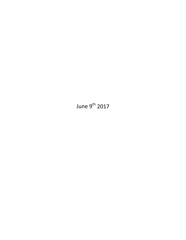June  $9^{th}$  2017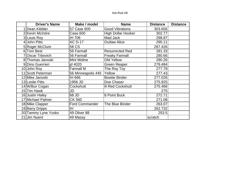# Hot Rod V8

| <b>Driver's Name</b> | Make / model          | <b>Name</b>               | <b>Distance</b> | <b>Distance</b> |
|----------------------|-----------------------|---------------------------|-----------------|-----------------|
| 1 Dean Kibbler       | 57 Case 600           | <b>Good Vibrations</b>    | 303.656         |                 |
| 2 Kevin McIntire     | Case 600              | <b>High Dollar Hooker</b> | 302.77          |                 |
| 3 Louis Roy          | IH 706                | Mad Jack                  | 298.87          |                 |
| 4 John Pitts         | <b>AC D-17</b>        | <b>Outlaw Alice</b>       | 295.11          |                 |
| 5 Roger McClure      | 58 CS                 |                           | 287.426         |                 |
| 6 Tom Best           | 56 Farmall            | <b>Resurrected Red</b>    | 281.33          |                 |
| 7 Oscar Trbovich     | 56 Farmall            | <b>Freaky Farmall</b>     | 280.66          |                 |
| 8 Thomas Janoski     | Mini Moline           | Old Yellow                | 280.26          |                 |
| 9 Dino Guerrieri     | jd 4020               | <b>Green Reaper</b>       | 279.484         |                 |
| 10 John Roy          | <b>Farmall M</b>      | The Roy Toy               | 277.79          |                 |
| 11 Scott Peterman    | 56 Minneapolis 445    | Yellow                    | 277.43          |                 |
| 12 Mike Janoski      | IH 666                | <b>Bowtie Binder</b>      | 277.026         |                 |
| 13 Leslie Pitts      | 1956 JD               | Doe Chaser                | 275.925         |                 |
| 14 Wilbur Cogan      | Cockshutt             | <b>Iil Red Cockshutt</b>  | 275.466         |                 |
| 15 Tim Hawk          | JD                    |                           | 275             |                 |
| 16 Justin Haley      | 68 JD                 | 8 Point Buck              | 272.71          |                 |
| 17 Michael Palmer    | <b>CK 560</b>         |                           | 271.08          |                 |
| 18 Mike Clapper      | <b>Ford Commander</b> | The Blue Binder           | 263.07          |                 |
| 19 Barry Dripps      | IH.                   |                           | 262.732         |                 |
| 20 Tammy Lyne Yusko  | 49 Oliver 88          |                           | 253.5           |                 |
| 21 Jim Nuent         | 49 Massy              |                           | scratch         |                 |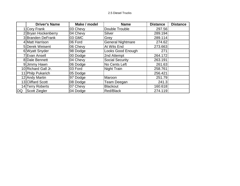## 2.5 Diesel Trucks

|           | <b>Driver's Name</b> | Make / model | <b>Name</b>              | <b>Distance</b> | <b>Distance</b> |
|-----------|----------------------|--------------|--------------------------|-----------------|-----------------|
|           | Cory Frank           | 03 Chevy     | Double Trouble           | 297.56          |                 |
|           | 2 Bryan Hockenberry  | 04 Chevy     | Silver                   | 289.194         |                 |
|           | 3 Branden DeFrank    | 03 GMC       | Grey                     | 289.114         |                 |
|           | 4 Matt Harrison      | 06 Ford      | <b>General Nightmare</b> | 274.62          |                 |
|           | 5 Derek Weisent      | 06 Chevy     | At Wits End              | 273.663         |                 |
|           | 6 Wyatt Snyder       | 98 Dodge     | Looks Good Enough        | 271             |                 |
|           | 7 Evan Ansell        | 00 Dodge     | 2nd Attempt              | 264.172         |                 |
|           | 8 Dale Bennett       | 04 Chevy     | <b>Social Security</b>   | 263.191         |                 |
|           | 9 Jimmy Hawn         | 06 Dodge     | No Cents Left            | 261.63          |                 |
|           | 10 Richard Gall Jr.  | 03 Ford      | <b>Night Train</b>       | 258.761         |                 |
|           | 11 Philp Pukarich    | 05 Dodge     |                          | 256.421         |                 |
|           | 12 Andy Martin       | 97 Dodge     | Maroon                   | 251.79          |                 |
|           | 13 Cliffard Scott    | 08 Dodge     | Team Deegan              | 241.3           |                 |
|           | 14 Terry Roberts     | 07 Chevy     | <b>Blackout</b>          | 160.618         |                 |
| <b>DQ</b> | <b>Scott Ziegler</b> | 04 Dodge     | Red/Black                | 274.119         |                 |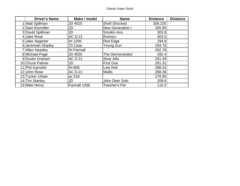| <b>Driver's Name</b> | Make / model      | <b>Name</b>             | <b>Distance</b> | <b>Distance</b> |
|----------------------|-------------------|-------------------------|-----------------|-----------------|
| 1 Matt Spillman      | <b>JD 4520</b>    | <b>Shell Shocked</b>    | 306.225         |                 |
| 2 Sam Kitzmiller     | JD                | <b>New Generation I</b> | 305.95          |                 |
| 3 David Spillman     | JD                | Smokin Ace              | 303.8           |                 |
| 4 Jake Rose          | <b>AC D-21</b>    | <b>Rumors</b>           | 303.5           |                 |
| 5 Jake Aegerter      | IH 1206           | <b>Red Edge</b>         | 294.8           |                 |
| 6 Jeremiah Shipley   | 70 Case           | Young Gun               | 294.76          |                 |
| 7 Allen Heasley      | <b>IH Farmall</b> |                         | 292.78          |                 |
| 8 Michael Page       | <b>JD 4520</b>    | The Demonstrator        | 292.4           |                 |
| 9 Dustin Graham      | <b>AC D-21</b>    | <b>Sluty Allis</b>      | 291.49          |                 |
| 10 Chuck Palmer      | JD                | <b>First Due</b>        | 291.31          |                 |
| 11 Phil Karnofel     | IH-806            | Lets Roll               | 288.42          |                 |
| 12 John Rose         | <b>AC D-21</b>    | <b>Mallis</b>           | 288.36          |                 |
| 13 Tucker Urban      | ac 516            |                         | 278.95          |                 |
| 14 Tim Stanley       | JD                | John Deer Solo          | 209.6           |                 |
| 15 Mike Henry        | Farmall 1206      | <b>Teacher's Pet</b>    | 110.2           |                 |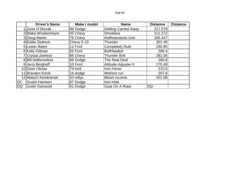### RWYB

|           | <b>Driver's Name</b>   | Make / model | <b>Name</b>                 | <b>Distance</b> | <b>Distance</b> |
|-----------|------------------------|--------------|-----------------------------|-----------------|-----------------|
|           | 1 Zane O'Shurak        | 96 Dodge     | <b>Getting Carried Away</b> | 317.579         |                 |
|           | 2 Blake Windenmeyer    | 05 Chevy     | <b>Smokless</b>             | 312.272         |                 |
|           | 3 Doug Martin          | 78 Chevy     | Huffmansauto.com            | 306.447         |                 |
|           | 4 Eddie Zedreck        | Chevy S-10   | Thunder                     | 301.48          |                 |
|           | 5 Lester Bates         | 12 Ford      | <b>Completely Nuts</b>      | 290.85          |                 |
|           | 6 Kelly Giltinan       | 55 Ford      | <b>BullHeaded</b>           | 286.4           |                 |
|           | 7 Crystal Zedreck      | 86 Chevy     | <b>Thunder Bolt</b>         | 281.56          |                 |
|           | 8 Bill DeBenedicts     | 98 Dodge     | The Real Deal               | 280.8           |                 |
|           | 9 Jerry Berghoff       | 10 Ford      | Attitude Adjuster II        | 270.49          |                 |
|           | 10 Dave Obrian         | 79 ford      | Iron Horse                  | 210.6           |                 |
|           | 11 Branden Konik       | 16 dodge     | Midrisnt run                | 207.6           |                 |
|           | 12 Malach Kendzierski  | 33 willys    | Blown income                | 201.58          |                 |
| <b>SC</b> | <b>Dustin Harrison</b> | 97 Dodge     | Iron Hide                   |                 |                 |
| DQ        | <b>Justin Garwood</b>  | 01 Dodge     | Goat On A Rope              | DQ              |                 |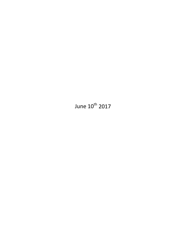June 10<sup>th</sup> 2017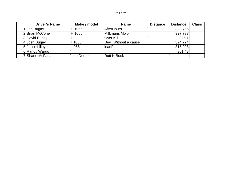# Pro Farm

| <b>Driver's Name</b> | Make / model | <b>Name</b>           | <b>Distance</b> | <b>Distance</b> | <b>Class</b> |
|----------------------|--------------|-----------------------|-----------------|-----------------|--------------|
| 1 Jon Bugay          | IH 1066      | AfterHours            |                 | 333.755         |              |
| 2 Brian McConell     | IH 1066      | Milkmans Mojo         |                 | 327.797         |              |
| 3 David Bugay        | ıΗ           | lOver Kill            |                 | 326.1           |              |
| 4 Josh Bugay         | IH1066       | Devil Without a cause |                 | 324.774         |              |
| 5 Jesse Lilley       | lih 966      | lleadFott             |                 | 315.998         |              |
| 6 Randy Wargo        |              |                       |                 | 301.48          |              |
| 7 Shane McFarland    | John Deere   | <b>Rutt N Buck</b>    |                 |                 |              |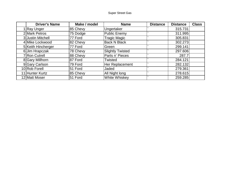| <b>Driver's Name</b> | Make / model | <b>Name</b>             | <b>Distance</b> | <b>Distance</b> | <b>Class</b> |
|----------------------|--------------|-------------------------|-----------------|-----------------|--------------|
| Ray Unger            | 85 Chevy     | Ungertaker              |                 | 315.731         |              |
| 2 Mark Petros        | 75 Dodge     | Public Enemy            |                 | 311.995         |              |
| 3 Justin Mitchell    | 77 Ford      | <b>Tragic Magic</b>     |                 | 305.831         |              |
| 4 Mike Lockwood      | 82 Chevy     | <b>Back N Black</b>     |                 | 302.273         |              |
| 5 Keith Hincherger   | 77 Ford      | Green                   |                 | 299.141         |              |
| 6 Jim Hrapczak       | 78 Chevy     | <b>Slightly Twisted</b> |                 | 297.606         |              |
| 7 Ron Cutrell        | 88 Chevy     | Parts n' Pieces         |                 | 287.7           |              |
| 8 Gary Millhorn      | 87 Ford      | Twisted                 |                 | 284.121         |              |
| 9 Gary Carlson       | 79 Ford      | Her Replacement         |                 | 282.132         |              |
| 10 Rob Forell        | 51 Ford      | Jaded                   |                 | 279.361         |              |
| 11 Hunter Kurtz      | 85 Chevy     | All Night long          |                 | 278.615         |              |
| 12 Matt Moser        | 51 Ford      | White Whiskey           |                 | 259.285         |              |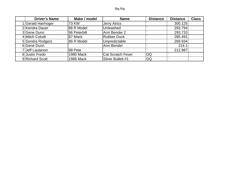| <b>Driver's Name</b> | Make / model     | <b>Name</b>              | <b>Distance</b> | <b>Distance</b> | <b>Class</b> |
|----------------------|------------------|--------------------------|-----------------|-----------------|--------------|
| 1 Gerald Hairhoger   | 73 KW            | Jerry Atrics             |                 | 300.125         |              |
| 2 Kendra Dauer       | 88 R Model       | Unleashed                |                 | 293.794         |              |
| 3 Gene Dunn          | 96 Peterbilt     | Arm Bender 2             |                 | 293.733         |              |
| 4 Mitch Coludt       | 87 Mack          | <b>Rubber Duck</b>       |                 | 285.491         |              |
| 5 Sondra Rodgers     | 86 R Model       | Unpredictable            |                 | 269.934         |              |
| 6 Gene Dunn          |                  | Arm Bender               |                 | 216.1           |              |
| 7 Jeff Lautanon      | 98 Pete          |                          |                 | 212.987         |              |
| 8 Justin Fredo       | <b>1980 Mack</b> | <b>Cat Scratch Fever</b> | DQ              |                 |              |
| 9 Richard Scott      | <b>1986 Mack</b> | Silver Bullett #1        | DQ              |                 |              |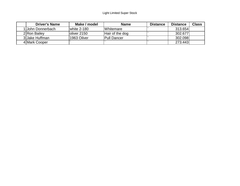| <b>Driver's Name</b> | Make / model  | <b>Name</b>              | <b>Distance</b> | <b>Distance</b> | <b>Class</b> |
|----------------------|---------------|--------------------------|-----------------|-----------------|--------------|
| 1 John Donnerbach    | white $2-180$ | <i><b>IWhitemare</b></i> |                 | 313.654         |              |
| 2 Ron Bailey         | loliver 2150  | Hair of the dog          |                 | 302.677         |              |
| 3 Jake Huffman       | 1963 Oilver   | <b>Pull Dancer</b>       |                 | 302.098         |              |
| 4 Mark Cooper        |               |                          |                 | 273.443         |              |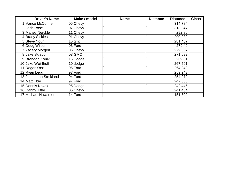| <b>Driver's Name</b>   | Make / model | <b>Name</b> | <b>Distance</b> | <b>Distance</b> | <b>Class</b> |
|------------------------|--------------|-------------|-----------------|-----------------|--------------|
| 1 Vance McConnell      | 05 Chevy     |             |                 | 314.784         |              |
| 2 Josh Rose            | 07 Chevy     |             |                 | 313.247         |              |
| 3 Maney Nerckle        | 11 Chevy     |             |                 | 292.86          |              |
| 4 Brady Sickles        | 01 Chevy     |             |                 | 290.989         |              |
| 5 Steve Youn           | $15$ gmc     |             |                 | 281.467         |              |
| 6 Doug Wilson          | 03 Ford      |             |                 | 279.49          |              |
| 7 Zacery Morgen        | 06 Chevy     |             |                 | 279.007         |              |
| 8 Jake Skladoni        | 03 GMC       |             |                 | 271.592         |              |
| 9 Brandon Konik        | 16 Dodge     |             |                 | 269.81          |              |
| 10 Jake Weirfhoff      | 10 dodge     |             |                 | 267.591         |              |
| 11 Roger Yost          | 05 Ford      |             |                 | 264.243         |              |
| 12 Ryan Legg           | 97 Ford      |             |                 | 259.243         |              |
| 13 Johnathan Strckland | 04 Ford      |             |                 | 254.979         |              |
| 14 Matt Ebie           | 97 Ford      |             |                 | 247.088         |              |
| 15 Dennis Novok        | 95 Dodge     |             |                 | 242.445         |              |
| 16 Danny Tittle        | 05 Chevy     |             |                 | 241.454         |              |
| 17 Michael Hawsmon     | 14 Ford      |             |                 | 151.509         |              |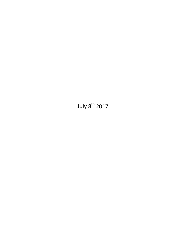July 8<sup>th</sup> 2017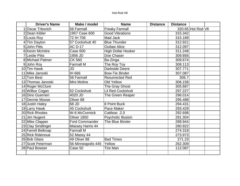# Hot Rod V8

|   | <b>Driver's Name</b>  | Make / model            | <b>Name</b>               | <b>Distance</b> | <b>Distance</b> |                   |  |
|---|-----------------------|-------------------------|---------------------------|-----------------|-----------------|-------------------|--|
|   | <b>Oscar Trbovich</b> | 56 Farmall              | <b>Freaky Farmall</b>     |                 |                 | 320.65 Hot Rod V8 |  |
|   | 2 Dean Kibler         | 1957 Case 600           | <b>Good Vibrations</b>    |                 | 315.342         |                   |  |
|   | 3 Louis Roy           | 72 IH 706               | Mad Jack                  |                 | 315.189         |                   |  |
|   | 4 Tim Dayton          | 57 Cockshutt 40         | <b>Blue Thunder</b>       |                 | 312.921         |                   |  |
| 5 | <b>John Pitts</b>     | <b>AC D-17</b>          | <b>Outlaw Alice</b>       |                 | 312.097         |                   |  |
|   | 6 Kevin McIntire      | Case 600                | <b>High Dollar Hooker</b> |                 | 311.248         |                   |  |
|   | 7 Leslie Pitts        | 1956 JD                 | Doe Chaser                |                 | 309.856         |                   |  |
|   | 8 Michael Palmer      | <b>CK 560</b>           | Ba-Zinga                  |                 | 309.674         |                   |  |
| 9 | John Roy              | <b>Farmall M</b>        | The Roy Toy               |                 | 308.113         |                   |  |
|   | 10 Tim Hawk           | JD                      | <b>Darkside Deere</b>     |                 | 307.771         |                   |  |
|   | 11 Mike Janoski       | IH 666                  | <b>Bow-Tie Binder</b>     |                 | 307.087         |                   |  |
|   | 12 Tom Best           | 56 Farmall              | <b>Resurrected Red</b>    |                 | 306.7           |                   |  |
|   | 13 Thomas Janoski     | Mini Moline             | <b>Old Yellow</b>         |                 | 306.158         |                   |  |
|   | 14 Roger McClure      |                         | The Gray Ghost            |                 | 305.687         |                   |  |
|   | 15 Wilbur Cogan       | 52 Cockshutt            | <b>Lil Red Cockshutt</b>  |                 | 297.227         |                   |  |
|   | 16 Dino Guerrieri     | 4020 JD                 | The Green Reaper          |                 | 296.014         |                   |  |
|   | 17 Dennie Moose       | Oliver 88               |                           |                 | 295.488         |                   |  |
|   | 18 Justin Haley       | 68 JD                   | 8 Point Buck              |                 | 294.431         |                   |  |
|   | 19 Larry Hawk         | 45 Cockshutt            | Pace Maker                |                 | 293.429         |                   |  |
|   | 20 Rick Rhodes        | W-6 McCormick           | Cattleac.2.0              |                 | 292.698         |                   |  |
|   | 21 Jim Nugent         | Oliver 1850             | <b>Psychotic Illusion</b> |                 | 291.304         |                   |  |
|   | 22 Mike Clapper       | <b>Ford Commander</b>   | The Blue Binder           |                 | 288.944         |                   |  |
|   | 23 Clay Sindlinger    | <b>Massey Harris 44</b> |                           |                 | 280.922         |                   |  |
|   | 24 Farrell Belknap    | <b>Farmall M</b>        |                           |                 | 274.318         |                   |  |
|   | 25 Rick Ridenoue      | 52 Massy 44             |                           |                 | 273.973         |                   |  |
|   | 26 Bob Glass          | 49 Oliver 88            | <b>Bad Times</b>          |                 | 271.23          |                   |  |
|   | 27 Scott Peterman     | 56 Minneapolis 445      | Yellow                    |                 | 262.309         |                   |  |
|   | 28 Paul Bowser        | Case 50                 | Tire Man                  |                 | 112.087         |                   |  |
|   |                       |                         |                           |                 |                 |                   |  |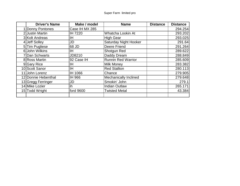| <b>Driver's Name</b> | Make / model   | <b>Name</b>                  | <b>Distance</b> | <b>Distance</b> |
|----------------------|----------------|------------------------------|-----------------|-----------------|
| 1 Donny Pontones     | Case IH MX 285 |                              |                 | 294.254         |
| 2 Justin Martin      | IH 7220        | Whatcha Lookin At            |                 | 293.202         |
| 3 Kolt Andreas       | IH             | <b>High Gear</b>             |                 | 293.025         |
| 4 Jeff Solley        | JD             | Saturday Night Hooker        |                 | 291.64          |
| 5Tim Pugliese        | 68 JD          | Deere Friend                 |                 | 291.264         |
| 6 John Wilkins       | IH             | Shotgun Red                  |                 | 289.622         |
| 7 Dan Schwarts       | JD8210         | Daddy Dream                  |                 | 288.849         |
| 8 Ross Martin        | 92 Case IH     | <b>Runnin Red Warrior</b>    |                 | 285.609         |
| 9 Gary Rice          | IH             | <b>Milk Money</b>            |                 | 283.382         |
| 10 Scott Sanor       | IH             | <b>Red Stallion</b>          |                 | 280.113         |
| 11 John Lorenz       | IH 1066        | Chance                       |                 | 279.905         |
| 12 Donnie Hebenthal  | IH 966         | <b>Mechanically Inclined</b> |                 | 279.648         |
| 13 Gregg Ferringer   | JD             | Smokin' John                 |                 | 279.1           |
| 14 Mike Lozier       | ih             | <b>Indian Outlaw</b>         |                 | 265.171         |
| 15 Todd Wright       | ford 9600      | <b>Twisted Metal</b>         |                 | 43.384          |
|                      |                |                              |                 |                 |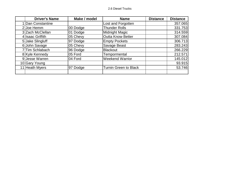| <b>Driver's Name</b> | Make / model | <b>Name</b>                  | <b>Distance</b> | <b>Distance</b> |
|----------------------|--------------|------------------------------|-----------------|-----------------|
| 1 Dan Constantine    |              | Lost and Forgotten           |                 | 357.065         |
| $2$ Joe Hemm         | 00 Dodge     | <b>Thunder Rolls</b>         |                 | 331.753         |
| 3 Zach McClellan     | 01 Dodge     | Midnight Magic               |                 | 314.559         |
| 4 Isaac Griffith     | 05 Chevy     | <b>Outta Know Better</b>     |                 | 307.084         |
| 5 Jake Slingluff     | 97 Dodge     | <b>Empty Pockets</b>         |                 | 306.713         |
| 6 John Savage        | 05 Chevy     | Savage Beast                 |                 | 283.243         |
| 7 Tim Schlabach      | 96 Dodge     | <b>Blackout</b>              |                 | 266.229         |
| 8 Kyle Kennedy       | 05 Ford      | Tempormental                 |                 | 212.571         |
| 9 Jesse Warren       | 04 Ford      | <b>Weekend Warrior</b>       |                 | 145.012         |
| 10 Gary Young        |              |                              |                 | 93.915          |
| 11 Heath Myers       | 97 Dodge     | <b>Turnin Green to Black</b> |                 | 53.746          |
|                      |              |                              |                 |                 |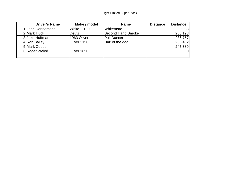| <b>Driver's Name</b> | Make / model       | <b>Name</b>              | <b>Distance</b> | <b>Distance</b> |
|----------------------|--------------------|--------------------------|-----------------|-----------------|
| John Donnerbach      | <b>White 2-180</b> | Whitemare                |                 | 290.983         |
| 2 Mark Huck          | Deutz              | <b>Second Hand Smoke</b> |                 | 288.193         |
| 3 Jake Huffman       | 1963 Oilver        | <b>Pull Dancer</b>       |                 | 286.757         |
| 4 Ron Bailey         | Oliver 2150        | Hair of the dog          |                 | 286.402         |
| 5 Mark Cooper        |                    |                          |                 | 247.389         |
| 6 Roger Weied        | Oliver 1650        |                          |                 |                 |
|                      |                    |                          |                 |                 |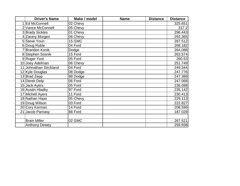| <b>Driver's Name</b>   | Make / model | <b>Name</b> | <b>Distance</b> | <b>Distance</b> |
|------------------------|--------------|-------------|-----------------|-----------------|
| <b>Ed McConnell</b>    | 02 Chevy     |             |                 | 325.651         |
| 2 Vance McConnell      | 05 Chevy     |             |                 | 317.2           |
| 3 Brady Sickles        | 01 Chevy     |             |                 | 296.443         |
| 4 Zacery Morgen        | 06 Chevy     |             |                 | 292.365         |
| 5 Steve Youn           | 15 GMC       |             |                 | 287.512         |
| 6 Doug Ruble           | 04 Ford      |             |                 | 268.182         |
| 7 Brandon Konik        | Dodge        |             |                 | 264.088         |
| 8 Stephen Sosnik       | 15 Ford      |             |                 | 263.574         |
| 9 Roger Yost           | 05 Ford      |             |                 | 260.53          |
| 10 Joey Adelman        | 06 Chevy     |             |                 | 251.749         |
| 11 Johnathan Strckland | 04 Ford      |             |                 | 249.344         |
| 12 Kyle Douglas        | 08 Dodge     |             |                 | 247.776         |
| 13 Brad Zepp           | 98 Dodge     |             |                 | 247.389         |
| 14 Derek Delp          | 06 Ford      |             |                 | 247.068         |
| 15 Jack Ayers          | 05 Ford      |             |                 | 236.088         |
| 16 Austin Hladky       | 97 Ford      |             |                 | 235.142         |
| 17 Michell Ayers       | 11 Ford      |             |                 | 230.413         |
| 18 Nathan Haas         | 05 Chevy     |             |                 | 229.113         |
| 19 Doug Wilson         | 03 Ford      |             |                 | 222.827         |
| 20 Cory Korman         | 14 Ford      |             |                 | 208.599         |
| 21 Jacob Parnasy       | 88 Ford      |             |                 | 187.028         |
|                        |              |             |                 |                 |
| <b>Brain Miller</b>    | 02 GMC       |             |                 | 267.521         |
| <b>Anthony Dewey</b>   |              |             |                 | 259.938         |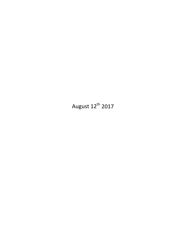August  $12^{th}$  2017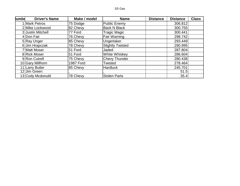| lumbe | <b>Driver's Name</b> | Make / model     | <b>Name</b>             | <b>Distance</b> | <b>Distance</b> | <b>Class</b> |
|-------|----------------------|------------------|-------------------------|-----------------|-----------------|--------------|
|       | <b>Mark Petros</b>   | 75 Dodge         | <b>Public Enemy</b>     |                 | 306.812         |              |
|       | 2 Mike Lockwood      | 82 Chevy         | <b>Back N Black</b>     |                 | 300.755         |              |
|       | 3 Justin Mitchell    | 77 Ford          | <b>Tragic Magic</b>     |                 | 300.441         |              |
|       | 4 Don Fair           | 76 Chevy         | Fair Warning            |                 | 298.742         |              |
|       | 5 Ray Unger          | 85 Chevy         | Ungertaker              |                 | 293.449         |              |
|       | 6 Jim Hrapczak       | 78 Chevy         | <b>Slightly Twisted</b> |                 | 290.995         |              |
|       | 7 Matt Moser         | 51 Ford          | Jaded                   |                 | 287.804         |              |
|       | 8 Rick Moser         | 51 Ford          | White Whiskey           |                 | 286.604         |              |
|       | 9 Ron Cutrell        | 75 Chevy         | <b>Chevy Thunder</b>    |                 | 280.438         |              |
|       | 10 Gary Millhorn     | <b>1987 Ford</b> | Twisted                 |                 | 278.464         |              |
|       | 11 Larry Butler      | 85 Chevy         | <b>Hardluck</b>         |                 | 245.701         |              |
|       | 12 Jim Green         |                  |                         |                 | 51.5            |              |
|       | 13 Cody Mcdonuld     | 78 Chevy         | <b>Stolen Parts</b>     |                 | 35.4            |              |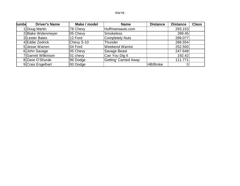| lumbe | <b>Driver's Name</b> | Make / model | <b>Name</b>                  | <b>Distance</b> | <b>Distance</b> | <b>Class</b> |
|-------|----------------------|--------------|------------------------------|-----------------|-----------------|--------------|
|       | I Doug Martin        | 78 Chevy     | Huffmansauto.com             |                 | 293.153         |              |
|       | 2 Blake Widenmeyer   | 05 Chevy     | Smokeless                    |                 | 289.45          |              |
|       | 3 Lester Bates       | 12 Ford      | Completely Nuts              |                 | 289.077         |              |
|       | 4 Eddie Zedrick      | Chevy S-10   | Thunder                      |                 | 286.554         |              |
|       | 5 Jesse Warren       | 04 Ford      | <b>Weekend Warrior</b>       |                 | 252.593         |              |
|       | 6 John Savage        | 05 Chevy     | Savage Beast                 |                 | 247.648         |              |
|       | 7 Garrett Wilkinson  | $ 01$ chevy  | Can You Dig It               |                 | 192.42          |              |
|       | 8 Zane O'Shurak      | 96 Dodge     | <b>Getting' Carried Away</b> |                 | 111.771         |              |
|       | 9 Crais Engelhart    | 00 Dodge     |                              | HB/Broke        |                 |              |